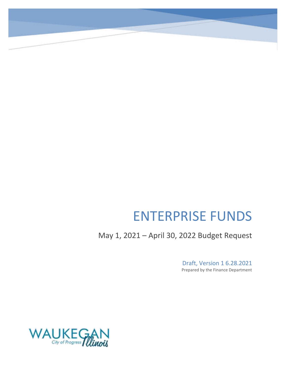# ENTERPRISE FUNDS

May 1, 2021 – April 30, 2022 Budget Request

Draft, Version 1 6.28.2021 Prepared by the Finance Department

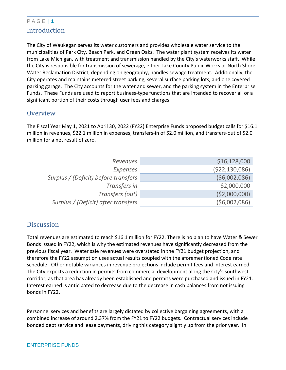### P A G E | **1** Introduction

The City of Waukegan serves its water customers and provides wholesale water service to the municipalities of Park City, Beach Park, and Green Oaks. The water plant system receives its water from Lake Michigan, with treatment and transmission handled by the City's waterworks staff. While the City is responsible for transmission of sewerage, either Lake County Public Works or North Shore Water Reclamation District, depending on geography, handles sewage treatment. Additionally, the City operates and maintains metered street parking, several surface parking lots, and one covered parking garage. The City accounts for the water and sewer, and the parking system in the Enterprise Funds. These Funds are used to report business-type functions that are intended to recover all or a significant portion of their costs through user fees and charges.

### **Overview**

The Fiscal Year May 1, 2021 to April 30, 2022 (FY22) Enterprise Funds proposed budget calls for \$16.1 million in revenues, \$22.1 million in expenses, transfers-in of \$2.0 million, and transfers-out of \$2.0 million for a net result of zero.

| Revenues                             | \$16,128,000   |
|--------------------------------------|----------------|
| <b>Expenses</b>                      | (\$22,130,086) |
| Surplus / (Deficit) before transfers | (56,002,086)   |
| Transfers in                         | \$2,000,000    |
| Transfers (out)                      | ( \$2,000,000) |
| Surplus / (Deficit) after transfers  | (56,002,086)   |

### **Discussion**

Total revenues are estimated to reach \$16.1 million for FY22. There is no plan to have Water & Sewer Bonds issued in FY22, which is why the estimated revenues have significantly decreased from the previous fiscal year. Water sale revenues were overstated in the FY21 budget projection, and therefore the FY22 assumption uses actual results coupled with the aforementioned Code rate schedule. Other notable variances in revenue projections include permit fees and interest earned. The City expects a reduction in permits from commercial development along the City's southwest corridor, as that area has already been established and permits were purchased and issued in FY21. Interest earned is anticipated to decrease due to the decrease in cash balances from not issuing bonds in FY22.

Personnel services and benefits are largely dictated by collective bargaining agreements, with a combined increase of around 2.37% from the FY21 to FY22 budgets. Contractual services include bonded debt service and lease payments, driving this category slightly up from the prior year. In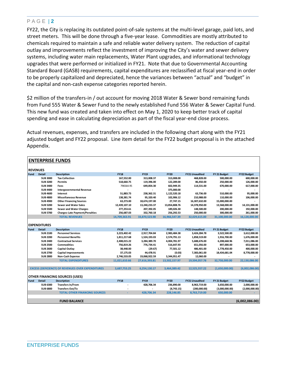FY22, the City is replacing its outdated point-of-sale systems at the multi-level garage, paid lots, and street meters. This will be done through a five-year lease. Commodities are mostly attributed to chemicals required to maintain a safe and reliable water delivery system. The reduction of capital outlay and improvements reflect the investment of improving the City's water and sewer delivery systems, including water main replacements, Water Plant upgrades, and informational technology upgrades that were performed or initialized in FY21. Note that due to Governmental Accounting Standard Board (GASB) requirements, capital expenditures are reclassified at fiscal year-end in order to be properly capitalized and depreciated, hence the variances between "actual" and "budget" in the capital and non-cash expense categories reported herein.

\$2 million of the transfers-in / out account for moving 2018 Water & Sewer bond remaining funds from Fund 555 Water & Sewer Fund to the newly established Fund 556 Water & Sewer Capital Fund. This new fund was created and taken into effect on May 1, 2020 to keep better track of capital spending and ease in calculating depreciation as part of the fiscal year-end close process.

Actual revenues, expenses, and transfers are included in the following chart along with the FY21 adjusted budget and FY22 proposal. Line item detail for the FY22 budget proposal is in the attached Appendix.

|                 |                     | <b>ENTERPRISE FUNDS</b>                                  |               |               |               |                       |                |                    |
|-----------------|---------------------|----------------------------------------------------------|---------------|---------------|---------------|-----------------------|----------------|--------------------|
|                 |                     |                                                          |               |               |               |                       |                |                    |
| <b>REVENUES</b> |                     |                                                          |               |               |               |                       |                |                    |
| Fund            | <b>Detail</b>       | <b>Description</b>                                       | <b>FY18</b>   | <b>FY19</b>   | <b>FY20</b>   | <b>FY21 Unaudited</b> | FY 21 Budget   | <b>FY22 Budget</b> |
|                 | <b>SUB3000</b>      | <b>Tax Collection</b>                                    | 167,552.00    | 313,008.37    | 313,008.00    | 468,828.00            | 500,000.00     | 600,000.00         |
|                 | <b>SUB3200</b>      | <b>Permits</b>                                           | 518,660.75    | 119,396.00    | 122,289.00    | 86,450.00             | 250,000.00     | 126,000.00         |
|                 | <b>SUB 3400</b>     | Fees                                                     | 796564.95     | 649,854.30    | 602,949.35    | 114,531.00            | 670,000.00     | 617,000.00         |
|                 | <b>SUB 4400</b>     | <b>Intergovernmental Revenue</b>                         |               |               | 375,000.00    |                       |                |                    |
|                 | <b>SUB 4600</b>     | Interest                                                 | 51.883.73     | 238.362.31    | 1,122,520.18  | 63.736.00             | 510.000.00     | 95.000.00          |
|                 | <b>SUB 4800</b>     | <b>Miscellaneous Revenue</b>                             | 138,381.74    | 95,320.40     | 102,906.12    | 210,988.00            | 110,000.00     | 106,000.00         |
|                 | <b>SUB 4900</b>     | <b>Other Financing Sources</b>                           | 63,273.00     | 18,674,197.00 | 27,747.15     | 16,307,632.00         | 15,000,000.00  |                    |
|                 | <b>SUB 5200</b>     | <b>Sewer and Water Sales</b>                             | 12,439,107.10 | 13,240,233.37 | 13,854,808.76 | 14,378,950.00         | 13,568,000.00  | 14,131,000.00      |
|                 | <b>SUB 5500</b>     | <b>Sewer and Water Charges</b>                           | 277,253.61    | 207,392.05    | 189,026.30    | 148,500.00            | 200,000.00     | 192,000.00         |
|                 | <b>SUB 5700</b>     | <b>Charges-Late Payment/Penalties</b>                    | 256,687.03    | 332,760.18    | 256,292.53    | 250,000.00            | 300,000.00     | 261,000.00         |
|                 |                     | <b>TOTAL REVENUES</b>                                    | 14,709,363.91 | 33,870,523.98 | 16,966,547.39 | 32,029,615.00         | 31,108,000.00  | 16,128,000.00      |
|                 |                     |                                                          |               |               |               |                       |                |                    |
|                 | <b>EXPENDITURES</b> |                                                          |               |               |               |                       |                |                    |
| Fund            | <b>Detail</b>       | <b>Description</b>                                       | <b>FY18</b>   | <b>FY19</b>   | <b>FY20</b>   | <b>FY21 Unaudited</b> | FY 21 Budget   | FY22 Budget        |
|                 | <b>SUB 2100</b>     | <b>Personnel Services</b>                                | 3,223,402.42  | 2,917,704.84  | 2,983,484.38  | 3,424,284.78          | 3,522,500.00   | 3,612,000.00       |
|                 | <b>SUB 2200</b>     | <b>Personnel Benefits</b>                                | 1,811,217.68  | 1,524,193.03  | 2,574,791.13  | 1,858,519.00          | 1,916,700.00   | 1,676,000.00       |
|                 | <b>SUB 2400</b>     | <b>Contractual Services</b>                              | 2,408,015.22  | 3,284,389.70  | 4,004,781.97  | 5,688,676.00          | 6,208,668.96   | 7,011,086.00       |
|                 | <b>SUB 2500</b>     | <b>Commodities</b>                                       | 756,819.26    | 776,734.41    | 516,647.93    | 651,056.00            | 897,000.00     | 653,000.00         |
|                 | <b>SUB 2600</b>     | Capital Outlay                                           | 38,448.00     | (29.67)       | 77,501.12     | 486,401.00            | 1,778,450.00   | 400,000.00         |
|                 | <b>SUB 2700</b>     | <b>Capital Improvements</b>                              | 37,175.03     | 44,478.91     | (0.03)        | 7,383,061.00          | 18,434,681.04  | 8,778,000.00       |
|                 | <b>SUB 2800</b>     | Non-Cash Expense                                         | 2,746,533.05  | 19,068,922.59 | 3,344,951.47  | 12,060.00             |                |                    |
|                 |                     | <b>TOTAL EXPENDITURES</b>                                | 11,021,610.66 | 27,616,393.81 | 13,502,157.97 | 19,504,057.78         | 32,758,000.00  | 22,130,086.00      |
|                 |                     |                                                          |               |               |               |                       |                |                    |
|                 |                     | <b>EXCESS (DEFICIENCY) OF REVENUES OVER EXPENDITURES</b> | 3,687,753.25  | 6,254,130.17  | 3,464,389.42  | 12,525,557.22         | (1,650,000.00) | (6,002,086.00)     |
|                 |                     |                                                          |               |               |               |                       |                |                    |
|                 |                     | <b>OTHER FINANCING SOURCES (USES)</b>                    |               |               |               |                       |                |                    |
| <b>Fund</b>     | <b>Detail</b>       | <b>Description</b>                                       | <b>FY18</b>   | <b>FY19</b>   | <b>FY20</b>   | <b>FY21 Unaudited</b> | FY 21 Budget   | <b>FY22 Budget</b> |
|                 | <b>SUB 6300</b>     | <b>Transfers In/From</b>                                 |               | 428,706.34    | 236,890.00    | 8,963,719.00          | 3,650,000.00   | 2,000,000.00       |
|                 | <b>SUB 6800</b>     | Transfers Out/To                                         |               |               | (8,743.15)    | (200,000.00)          | (3,000,000.00) | (2,000,000.00)     |
|                 |                     | <b>TOTAL OTHER FINANCING SOURCES</b>                     | ٠             | 428.706.34    | 228,146.85    | 8,763,719.00          | 650,000.00     |                    |
|                 |                     |                                                          |               |               |               |                       |                |                    |
|                 |                     | <b>FUND BALANCE</b>                                      |               |               |               |                       |                | (6.002.086.00)     |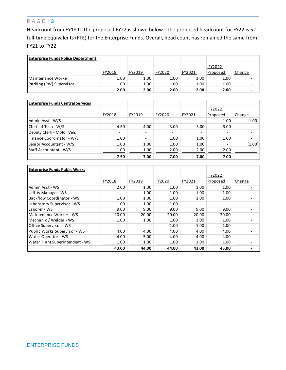Headcount from FY18 to the proposed FY22 is shown below. The proposed headcount for FY22 is 52 full-time equivalents (FTE) for the Enterprise Funds. Overall, head count has remained the same from FY21 to FY22.

| <b>Enterprise Funds Police Department</b> |        |        |        |        |          |                          |
|-------------------------------------------|--------|--------|--------|--------|----------|--------------------------|
|                                           |        |        |        |        | FY2022   |                          |
|                                           | FY2018 | FY2019 | FY2020 | FY2021 | Proposed | Change                   |
| <b>IMaintenance Worker</b>                | 1.00   | 1.00   | 1.00   | 1.00   | 1.00     |                          |
| Parking (PW) Supervisor                   | 1.00   | 1.00   | 1.00   | 1.00   | 1.00     | -                        |
|                                           | 2.00   | 2.00   | 2.00   | 2.00   | 2.00     | $\overline{\phantom{0}}$ |

| <b>Enterprise Funds Central Services</b> |                          |                          |                          |                          |                          |        |
|------------------------------------------|--------------------------|--------------------------|--------------------------|--------------------------|--------------------------|--------|
|                                          |                          |                          |                          |                          | FY2022                   |        |
|                                          | FY2018                   | FY2019                   | FY2020                   | FY2021                   | Proposed                 | Change |
| Admin Asst - W/S                         | $\overline{\phantom{0}}$ | $\overline{\phantom{a}}$ |                          |                          | 1.00                     | 1.00   |
| Clerical Tech - W/S                      | 4.50                     | 4.00                     | 3.00                     | 3.00                     | 3.00                     |        |
| Deputy Clerk - Motor Veh.                | $\overline{\phantom{0}}$ | $\overline{\phantom{a}}$ | $\overline{\phantom{0}}$ | $\overline{\phantom{0}}$ | $\overline{\phantom{a}}$ |        |
| Finance Coordinator - W/S                | 1.00                     | $\overline{\phantom{a}}$ | 1.00                     | 1.00                     | 1.00                     |        |
| Senior Accountant - W/S                  | 1.00                     | 1.00                     | 1.00                     | 1.00                     | $\overline{\phantom{a}}$ | (1.00) |
| Staff Accountant - W/S                   | 1.00                     | 1.00                     | 2.00                     | 2.00                     | 2.00                     |        |
|                                          | 7.50                     | 7.00                     | 7.00                     | 7.00                     | 7.00                     |        |

| <b>Enterprise Funds Public Works</b> |        |                          |        |                          |                          |                          |
|--------------------------------------|--------|--------------------------|--------|--------------------------|--------------------------|--------------------------|
|                                      |        |                          |        |                          | FY2022                   |                          |
|                                      | FY2018 | FY2019                   | FY2020 | FY2021                   | Proposed                 | Change                   |
| Admin Asst - WS                      | 2.00   | 1.00                     | 1.00   | 1.00                     | 1.00                     |                          |
| Utility Manager-WS                   |        | 1.00                     | 1.00   | 1.00                     | 1.00                     |                          |
| Backflow Coordinator - WS            | 1.00   | 1.00                     | 1.00   | 1.00                     | 1.00                     | $\overline{\phantom{0}}$ |
| Laboratory Supervisor - WS           | 1.00   | 1.00                     | 1.00   | $\overline{\phantom{0}}$ | $\overline{\phantom{0}}$ |                          |
| Laborer - WS                         | 9.00   | 9.00                     | 9.00   | 9.00                     | 9.00                     |                          |
| Maintenance Worker - WS              | 20.00  | 20.00                    | 20.00  | 20.00                    | 20.00                    |                          |
| Mechanic / Welder - WS               | 1.00   | 1.00                     | 1.00   | 1.00                     | 1.00                     |                          |
| Office Supervisor - WS               |        | $\overline{\phantom{a}}$ | 1.00   | 1.00                     | 1.00                     | $\overline{\phantom{0}}$ |
| Public Works Supervisor - WS         | 4.00   | 4.00                     | 4.00   | 4.00                     | 4.00                     |                          |
| Water Operator - WS                  | 4.00   | 5.00                     | 4.00   | 4.00                     | 4.00                     |                          |
| Water Plant Superintendent - WS      | 1.00   | 1.00                     | 1.00   | 1.00                     | 1.00                     |                          |
|                                      | 43.00  | 44.00                    | 44.00  | 43.00                    | 43.00                    |                          |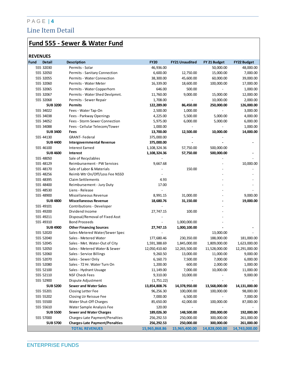### P A G E | **4** Line Item Detail

# **Fund 555 - Sewer & Water Fund**

#### **REVENUES**

| Fund | <b>Detail</b>   | <b>Description</b>                    | <b>FY20</b>   | <b>FY21 Unaudited</b> | FY 21 Budget   | <b>FY22 Budget</b> |
|------|-----------------|---------------------------------------|---------------|-----------------------|----------------|--------------------|
|      | 555 32030       | Permits - Solar                       | 46,936.00     |                       | 50,000.00      | 48,000.00          |
|      | 555 32050       | Permits - Sanitary Connection         | 6,600.00      | 12,750.00             | 15,000.00      | 7,000.00           |
|      | 555 32055       | Permits - Water Connection            | 38,300.00     | 45,600.00             | 60,000.00      | 39,000.00          |
|      | 555 32060       | Permits - Water Meter                 | 16,339.00     | 18,600.00             | 100,000.00     | 17,000.00          |
|      | 555 32065       | Permits - Water Copperhorn            | 646.00        | 500.00                | $\overline{a}$ | 1,000.00           |
|      | 555 32067       | Permits - Water Shed Devlpmnt.        | 11,760.00     | 9,000.00              | 15,000.00      | 12,000.00          |
|      | 555 32068       | Permits - Sewer Repair                | 1,708.00      | $\overline{a}$        | 10,000.00      | 2,000.00           |
|      | <b>SUB3200</b>  | <b>Permits</b>                        | 122,289.00    | 86,450.00             | 250,000.00     | 126,000.00         |
|      | 555 34022       | Fees - Water Tap-On                   | 2,500.00      | 1,000.00              |                | 3,000.00           |
|      | 555 34038       | Fees - Parkway Openings               | 4,225.00      | 5,500.00              | 5,000.00       | 4,000.00           |
|      | 555 34052       | Fees - Storm Sewer Connection         | 5,975.00      | 6,000.00              | 5,000.00       | 6,000.00           |
|      | 555 34088       | Fees - Cellular Telecom/Tower         | 1,000.00      |                       |                | 1,000.00           |
|      | <b>SUB 3400</b> | Fees                                  | 13,700.00     | 12,500.00             | 10,000.00      | 14,000.00          |
|      | 555 44130       | <b>GRANT-Federal</b>                  | 375,000.00    |                       |                |                    |
|      | <b>SUB 4400</b> | <b>Intergovernmental Revenue</b>      | 375,000.00    |                       |                |                    |
|      | 555 46100       | <b>Interest Earned</b>                | 1,108,324.36  | 57,750.00             | 500,000.00     |                    |
|      | <b>SUB 4600</b> | Interest                              | 1,108,324.36  | 57,750.00             | 500,000.00     |                    |
|      | 555 48050       | Sale of Recyclables                   |               |                       |                |                    |
|      | 555 48129       | Reimbursement - PW Services           | 9,667.68      |                       |                | 10,000.00          |
|      | 555 48170       | Sale of Labor & Materials             |               | 150.00                |                |                    |
|      | 555 48256       | Reimb Wtr On/Off/Loss Fee NSSD        |               |                       |                |                    |
|      | 555 48395       | <b>Claim Settlements</b>              | 4.93          |                       |                |                    |
|      | 555 48400       | Reimbursement - Jury Duty             | 17.00         |                       |                |                    |
|      | 555 48530       | Liens - Release                       |               |                       |                |                    |
|      | 555 48900       | Miscellaneous Revenue                 | 8,991.15      | 31,000.00             |                | 9,000.00           |
|      | <b>SUB 4800</b> | <b>Miscellaneous Revenue</b>          | 18,680.76     | 31,150.00             |                | 19,000.00          |
|      | 555 49101       | Contributions - Developer             |               |                       |                |                    |
|      | 555 49200       | Dividend Income                       | 27,747.15     | 100.00                |                |                    |
|      | 555 49211       | Disposal/Removal of Fixed Asst        |               |                       |                |                    |
|      | 555 49310       | <b>Bond Proceeds</b>                  |               | 1,000,000.00          |                |                    |
|      | <b>SUB 4900</b> | <b>Other Financing Sources</b>        | 27,747.15     | 1,000,100.00          |                |                    |
|      | 555 52020       | Sales-Metered Water/Sewer Spec        |               |                       | 13,000.00      |                    |
|      | 555 52040       | Sales - Metered Water                 | 177,680.46    | 230,350.00            | 188,000.00     | 181,000.00         |
|      | 555 52045       | Sales - Met. Water-Out of City        | 1,591,388.69  | 1,845,000.00          | 1,809,000.00   | 1,623,000.00       |
|      | 555 52050       | Sales - Metered Water & Sewer         | 12,050,410.60 | 12,265,500.00         | 11,528,000.00  | 12,291,000.00      |
|      | 555 52060       | Sales - Service Billings              | 9,260.50      | 13,000.00             | 11,000.00      | 9,000.00           |
|      | 555 52070       | Sales - Sewer Only                    | 6,160.73      | 7,500.00              | 7,000.00       | 6,000.00           |
|      | 555 52080       | Sales - 72 Hr. Water Turn On          | 1,200.00      | 600.00                | 2,000.00       | 1,000.00           |
|      | 555 52100       | Sales - Hydrant Usuage                | 11,149.00     | 7,000.00              | 10,000.00      | 11,000.00          |
|      | 555 52110       | <b>NSF Check Fees</b>                 | 9,310.00      | 10,000.00             |                | 9,000.00           |
|      | 555 52900       | Dispute Adjustment                    | (1,751.22)    |                       |                |                    |
|      | <b>SUB 5200</b> | <b>Sewer and Water Sales</b>          | 13,854,808.76 | 14,378,950.00         | 13,568,000.00  | 14,131,000.00      |
|      | 555 55201       | Closing Letter Fee                    | 96,256.30     | 100,000.00            | 100,000.00     | 98,000.00          |
|      | 555 55202       | Closing Ltr Reissue Fee               | 7,000.00      | 6,500.00              |                | 7,000.00           |
|      | 555 55500       | Water Shut-Off Charges                | 85,650.00     | 42,000.00             | 100,000.00     | 87,000.00          |
|      | 555 55610       | Water Sample Analysis Fee             | 120.00        |                       |                |                    |
|      | <b>SUB 5500</b> | <b>Sewer and Water Charges</b>        | 189,026.30    | 148,500.00            | 200,000.00     | 192,000.00         |
|      | 555 57000       | Charges-Late Payment/Penalties        | 256, 292.53   | 250,000.00            | 300,000.00     | 261,000.00         |
|      | <b>SUB 5700</b> | <b>Charges-Late Payment/Penalties</b> | 256,292.53    | 250,000.00            | 300,000.00     | 261,000.00         |
|      |                 | <b>TOTAL REVENUES</b>                 | 15,965,868.86 | 15,965,400.00         | 14,828,000.00  | 14,743,000.00      |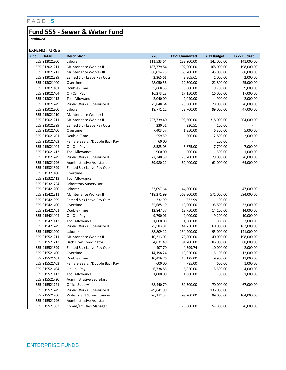### **Fund 555 - Sewer & Water Fund**

*Continued*

#### **EXPENDITURES**

| Fund | <b>Detail</b> | <b>Description</b>            | <b>FY20</b> | <b>FY21 Unaudited</b> | FY 21 Budget | <b>FY22 Budget</b> |
|------|---------------|-------------------------------|-------------|-----------------------|--------------|--------------------|
|      | 555 913021200 | Laborer                       | 111,533.64  | 132,900.00            | 142,000.00   | 141,000.00         |
|      | 555 913021211 | Maintenance Worker II         | 187,779.84  | 192,000.00            | 168,000.00   | 198,000.00         |
|      | 555 913021212 | Maintenance Worker III        | 68,014.75   | 68,700.00             | 45,000.00    | 68,000.00          |
|      | 555 913021399 | Earned Sick Leave Pay Outs    | 2,365.61    | 2,365.61              | 1,000.00     | 2,000.00           |
|      | 555 913021400 | Overtime                      | 28,050.56   | 12,500.00             | 22,800.00    | 25,000.00          |
|      | 555 913021401 | Double-Time                   | 5,668.56    | 6,000.00              | 9,700.00     | 9,000.00           |
|      | 555 913021404 | On-Call Pay                   | 16,273.23   | 17,150.00             | 16,000.00    | 17,000.00          |
|      | 555 913021413 | <b>Tool Allowance</b>         | 2,040.00    | 2,040.00              | 900.00       | 2,000.00           |
|      | 555 913021749 | Public Works Supervisor II    | 75,848.64   | 78,300.00             | 78,000.00    | 76,000.00          |
|      | 555 915021200 | Laborer                       | 18,771.12   | 52,700.00             | 99,000.00    | 47,000.00          |
|      | 555 915021210 | Maintenance Worker I          |             |                       |              |                    |
|      | 555 915021211 | Maintenance Worker II         | 227,739.40  | 198,600.00            | 318,000.00   | 204,000.00         |
|      | 555 915021399 | Earned Sick Leave Pay Outs    | 230.51      | 230.51                | 100.00       |                    |
|      | 555 915021400 | Overtime                      | 7,403.57    | 1,850.00              | 6,300.00     | 5,000.00           |
|      | 555 915021401 | Double-Time                   | 559.59      | 300.00                | 2,800.00     | 2,000.00           |
|      | 555 915021403 | Female Search/Double Back Pay | 60.00       |                       | 200.00       |                    |
|      | 555 915021404 | On-Call Pay                   | 8,585.08    | 6,875.00              | 7,700.00     | 7,000.00           |
|      | 555 915021413 | <b>Tool Allowance</b>         | 900.00      | 900.00                | 500.00       | 1,000.00           |
|      | 555 915021749 | Public Works Supervisor II    | 77,340.39   | 78,700.00             | 79,000.00    | 76,000.00          |
|      | 555 915021796 | Administrative Assistant I    | 59,980.22   | 62,400.00             | 62,000.00    | 64,000.00          |
|      | 555 915321399 | Earned Sick Leave Pay Outs    |             |                       |              |                    |
|      | 555 915321400 | Overtime                      |             |                       |              |                    |
|      | 555 915321413 | <b>Tool Allowance</b>         |             |                       |              |                    |
|      | 555 915321724 | Laboratory Supervisor         |             |                       |              |                    |
|      | 555 915421200 | Laborer                       | 33,097.64   | 44,800.00             |              | 47,000.00          |
|      | 555 915421211 | Maintenance Worker II         | 418,271.99  | 563,800.00            | 571,000.00   | 594,000.00         |
|      | 555 915421399 | Earned Sick Leave Pay Outs    | 332.99      | 332.99                | 100.00       |                    |
|      | 555 915421400 | Overtime                      | 35,685.19   | 18,000.00             | 35,800.00    | 32,000.00          |
|      | 555 915421401 | Double-Time                   | 12,847.57   | 12,750.00             | 14,100.00    | 14,000.00          |
|      | 555 915421404 | On-Call Pay                   | 9,790.01    | 9,000.00              | 9,200.00     | 10,000.00          |
|      | 555 915421413 | <b>Tool Allowance</b>         | 1,800.00    | 1,800.00              | 800.00       | 2,000.00           |
|      | 555 915421749 | Public Works Supervisor II    | 75,583.81   | 144,750.00            | 60,000.00    | 162,000.00         |
|      | 555 915521200 | Laborer                       | 88,809.12   | 134,200.00            | 95,000.00    | 141,000.00         |
|      | 555 915521211 | Maintenance Worker II         | 10,313.03   | 170,800.00            | 40,000.00    | 198,000.00         |
|      | 555 915521213 | <b>Back Flow Coordinator</b>  | 34,631.49   | 84,700.00             | 86,000.00    | 88,000.00          |
|      | 555 915521399 | Earned Sick Leave Pay Outs    | 407.70      | 4,399.74              | 10,000.00    | 2,000.00           |
|      | 555 915521400 | Overtime                      | 14,198.24   | 19,050.00             | 15,100.00    | 12,000.00          |
|      | 555 915521401 | Double-Time                   | 10,416.76   | 15,125.00             | 9,900.00     | 11,000.00          |
|      | 555 915521403 | Female Search/Double Back Pay | 600.00      | 785.00                | 600.00       | 1,000.00           |
|      | 555 915521404 | On-Call Pay                   | 6,738.86    | 5,850.00              | 5,500.00     | 4,000.00           |
|      | 555 915521413 | <b>Tool Allowance</b>         | 1,080.00    | 1,080.00              | 100.00       | 1,000.00           |
|      | 555 915521720 | Administrative Secretary      |             |                       |              |                    |
|      | 555 915521721 | Office Supervisor             | 68,440.79   | 69,500.00             | 70,000.00    | 67,000.00          |
|      | 555 915521749 | Public Works Supervisor II    | 49,641.99   |                       | 136,000.00   |                    |
|      | 555 915521760 | Water Plant Superintendent    | 96,172.52   | 98,900.00             | 99,000.00    | 104,000.00         |
|      | 555 915521796 | Administrative Assistant I    |             |                       |              |                    |
|      | 555 915521803 | Comm/Utilities Manager        |             | 75,000.00             | 57,800.00    | 76,000.00          |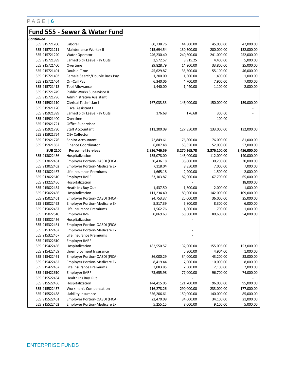### **Fund 555 - Sewer & Water Fund**

| Continued       |                                     |              |              |              |              |
|-----------------|-------------------------------------|--------------|--------------|--------------|--------------|
| 555 915721200   | Laborer                             | 60,738.76    | 44,800.00    | 45,000.00    | 47,000.00    |
| 555 915721211   | Maintenance Worker II               | 215,694.54   | 130,500.00   | 200,000.00   | 132,000.00   |
| 555 915721220   | Water Operator                      | 246,230.40   | 240,600.00   | 241,000.00   | 252,000.00   |
| 555 915721399   | Earned Sick Leave Pay Outs          | 3,572.57     | 3,915.25     | 4,400.00     | 5,000.00     |
| 555 915721400   | Overtime                            | 29,828.79    | 14,200.00    | 33,800.00    | 25,000.00    |
| 555 915721401   | Double-Time                         | 45,629.87    | 35,500.00    | 55,100.00    | 46,000.00    |
| 555 915721403   | Female Search/Double Back Pay       | 1,200.00     | 1,300.00     | 1,400.00     | 1,000.00     |
| 555 915721404   | On-Call Pay                         | 6,340.06     | 4,700.00     | 7,900.00     | 7,000.00     |
| 555 915721413   | <b>Tool Allowance</b>               | 1,440.00     | 1,440.00     | 1,100.00     | 2,000.00     |
| 555 915721749   | Public Works Supervisor II          |              |              |              |              |
| 555 915721796   | Administrative Assistant            |              |              |              |              |
| 555 915921110   | Clerical Technician I               | 167,033.33   | 146,000.00   | 150,000.00   | 159,000.00   |
| 555 915921120   | Fiscal Assistant I                  |              |              |              |              |
| 555 915921399   | Earned Sick Leave Pay Outs          | 176.68       | 176.68       | 300.00       |              |
| 555 915921400   | Overtime                            |              |              | 100.00       |              |
| 555 915921721   | Office Supervisor                   |              |              |              |              |
| 555 915921730   | <b>Staff Accountant</b>             | 111,200.09   | 127,850.00   | 133,000.00   | 132,000.00   |
| 555 915921754   | City Collector                      |              |              |              |              |
| 555 915921776   | <b>Senior Accountant</b>            | 72,849.61    | 76,800.00    | 76,000.00    | 81,000.00    |
| 555 915921862   | <b>Finance Coordinator</b>          | 6,807.48     | 53,350.00    | 52,000.00    | 57,000.00    |
| <b>SUB 2100</b> | <b>Personnel Services</b>           | 2,836,746.59 | 3,270,265.78 | 3,376,100.00 | 3,456,000.00 |
| 555 913022456   | Hospitalization                     | 155,078.00   | 145,000.00   | 112,000.00   | 140,000.00   |
| 555 913022461   | Employer Portion-OASDI (FICA)       | 30,436.18    | 36,000.00    | 30,200.00    | 30,000.00    |
| 555 913022462   | <b>Employer Portion-Medicare Ex</b> | 7,118.04     | 8,350.00     | 7,000.00     | 7,000.00     |
| 555 913022467   | Life Insurance Premiums             | 1,665.18     | 2,200.00     | 1,500.00     | 2,000.00     |
| 555 913022610   | <b>Employer IMRF</b>                | 63,103.87    | 82,000.00    | 67,700.00    | 65,000.00    |
| 555 913222456   | Hospitalization                     |              |              |              | 18,000.00    |
| 555 915022454   | Heath Ins Buy Out                   | 1,437.50     | 1,500.00     | 2,000.00     | 1,000.00     |
| 555 915022456   | Hospitalization                     | 111,234.40   | 89,000.00    | 142,000.00   | 109,000.00   |
| 555 915022461   | Employer Portion-OASDI (FICA)       | 24,753.37    | 25,000.00    | 36,000.00    | 25,000.00    |
| 555 915022462   | <b>Employer Portion-Medicare Ex</b> | 5,817.39     | 5,800.00     | 8,300.00     | 6,000.00     |
| 555 915022467   | Life Insurance Premiums             | 1,562.76     | 1,800.00     | 1,700.00     | 1,000.00     |
| 555 915022610   | <b>Employer IMRF</b>                | 50,869.63    | 58,600.00    | 80,600.00    | 54,000.00    |
| 555 915322456   | Hospitalization                     |              |              |              |              |
| 555 915322461   | Employer Portion-OASDI (FICA)       |              |              |              |              |
| 555 915322462   | <b>Employer Portion-Medicare Ex</b> |              |              |              |              |
| 555 915322467   | Life Insurance Premiums             |              |              |              |              |
| 555 915322610   | <b>Employer IMRF</b>                |              |              |              |              |
| 555 915422456   | Hospitalization                     | 182,550.57   | 132,000.00   | 155,096.00   | 153,000.00   |
| 555 915422459   | Unemployment Insurance              |              | 5,300.00     | 4,904.00     | 1,000.00     |
| 555 915422461   | Employer Portion-OASDI (FICA)       | 36,000.29    | 34,000.00    | 43,200.00    | 33,000.00    |
| 555 915422462   | <b>Employer Portion-Medicare Ex</b> | 8,419.44     | 7,900.00     | 10,000.00    | 8,000.00     |
| 555 915422467   | Life Insurance Premiums             | 2,083.85     | 2,500.00     | 2,100.00     | 2,000.00     |
| 555 915422610   | <b>Employer IMRF</b>                | 73,655.98    | 77,000.00    | 96,700.00    | 74,000.00    |
| 555 915522454   | Health Ins Buy Out                  |              |              |              |              |
| 555 915522456   | Hospitalization                     | 144,415.05   | 121,700.00   | 96,000.00    | 95,000.00    |
| 555 915522457   | <b>Workmen's Compensation</b>       | 116,278.26   | 290,000.00   | 233,000.00   | 177,000.00   |
| 555 915522458   | Liability Insurance                 | 356,206.61   | 150,000.00   | 140,000.00   | 85,000.00    |
| 555 915522461   | Employer Portion-OASDI (FICA)       | 22,470.09    | 34,000.00    | 34,100.00    | 21,000.00    |
| 555 915522462   | <b>Employer Portion-Medicare Ex</b> | 5,255.15     | 8,000.00     | 9,100.00     | 5,000.00     |
|                 |                                     |              |              |              |              |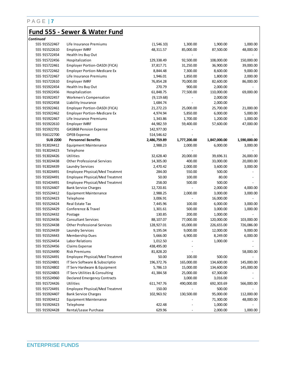### **Fund 555 - Sewer & Water Fund**

| Continued       |                                       |              |                          |              |              |
|-----------------|---------------------------------------|--------------|--------------------------|--------------|--------------|
| 555 915522467   | Life Insurance Premiums               | (1,546.10)   | 1,300.00                 | 1,900.00     | 1,000.00     |
| 555 915522610   | <b>Employer IMRF</b>                  | 48,311.57    | 85,000.00                | 87,500.00    | 48,000.00    |
| 555 915722454   | Health Ins Buy Out                    |              |                          |              |              |
| 555 915722456   | Hospitalization                       | 129,338.49   | 92,500.00                | 108,000.00   | 150,000.00   |
| 555 915722461   | Employer Portion-OASDI (FICA)         | 37,817.71    | 31,250.00                | 36,900.00    | 39,000.00    |
| 555 915722462   | <b>Employer Portion-Medicare Ex</b>   | 8,844.48     | 7,300.00                 | 8,600.00     | 9,000.00     |
| 555 915722467   | Life Insurance Premiums               | 1,946.01     | 1,850.00                 | 1,800.00     | 2,000.00     |
| 555 915722610   | Employer IMRF                         | 76,854.28    | 70,000.00                | 82,600.00    | 86,000.00    |
| 555 915922454   | Health Ins Buy Out                    | 270.79       | 900.00                   | 2,000.00     |              |
| 555 915922456   | Hospitalization                       | 61,848.75    | 77,500.00                | 110,000.00   | 69,000.00    |
| 555 915922457   | Workmen's Compensation                | (9, 119.68)  |                          | 2,000.00     |              |
| 555 915922458   | Liability Insurance                   | 1,684.74     |                          | 2,000.00     |              |
| 555 915922461   | Employer Portion-OASDI (FICA)         | 21,272.23    | 25,000.00                | 25,700.00    | 21,000.00    |
| 555 915922462   | <b>Employer Portion-Medicare Ex</b>   | 4,974.94     | 5,850.00                 | 6,000.00     | 5,000.00     |
| 555 915922467   | Life Insurance Premiums               | 1,343.86     | 1,700.00                 | 1,200.00     | 1,000.00     |
| 555 915922610   | <b>Employer IMRF</b>                  | 44,982.59    | 59,400.00                | 57,600.00    | 47,000.00    |
| 555 915922701   | <b>GASB68 Pension Expense</b>         | 142,977.00   |                          |              |              |
| 555 916122700   | <b>OPEB</b> Expense                   | 514,546.62   |                          |              |              |
| <b>SUB 2200</b> | <b>Personnel Benefits</b>             | 2,486,759.89 | 1,777,200.00             | 1,847,000.00 | 1,590,000.00 |
| 555 913024412   | <b>Equipment Maintenance</b>          | 2,988.23     | 2,000.00                 | 6,000.00     | 3,000.00     |
| 555 913024423   | Telephone                             |              |                          |              |              |
| 555 913024426   | Utilities                             | 32,628.40    | 20,000.00                | 39,696.31    | 26,000.00    |
| 555 913024438   | <b>Other Professional Services</b>    | 14,305.00    | 400.00                   | 33,000.00    | 20,000.00    |
| 555 913024439   | Laundry Services                      | 2,470.42     | 2,000.00                 | 3,600.00     | 3,000.00     |
| 555 913024491   | <b>Employee Physical/Med Treatmnt</b> | 284.00       | 550.00                   | 500.00       |              |
| 555 915024491   | Employee Physical/Med Treatmnt        | 50.00        | 100.00                   | 80.00        |              |
| 555 915424491   | Employee Physical/Med Treatmnt        | 258.00       | 500.00                   | 500.00       |              |
| 555 915524407   | <b>Bank Service Charges</b>           | 12,720.81    |                          | 2,000.00     | 4,000.00     |
| 555 915524412   | <b>Equipment Maintenance</b>          | 2,988.25     | 2,000.00                 | 3,000.00     | 3,000.00     |
| 555 915524423   | Telephone                             | 3,006.91     |                          | 16,000.00    |              |
| 555 915524424   | Real Estate Tax                       | 7,445.96     | 100.00                   | 6,000.00     | 3,000.00     |
| 555 915524429   | Conference & Travel                   | 1,301.61     | 500.00                   | 3,000.00     | 1,000.00     |
| 555 915524432   | Postage                               | 130.85       | 200.00                   | 1,000.00     |              |
| 555 915524436   | <b>Consultant Services</b>            | 88,107.07    | 77,000.00                | 120,000.00   | 103,000.00   |
| 555 915524438   | <b>Other Professional Services</b>    | 128,927.01   | 65,000.00                | 226,655.00   | 726,086.00   |
| 555 915524439   | <b>Laundry Services</b>               | 9,195.04     | 9,000.00                 | 12,000.00    | 9,000.00     |
| 555 915524443   | Membership Dues                       | 5,666.00     | 6,900.00                 | 8,249.00     | 6,000.00     |
| 555 915524454   | Labor Relations                       | 1,012.50     |                          | 1,000.00     |              |
| 555 915524456   | Claims Expense                        | 438,495.00   |                          |              |              |
| 555 915524490   | Risk Premiums                         | 81,828.20    | $\overline{\phantom{a}}$ |              | 58,000.00    |
| 555 915524491   | Employee Physical/Med Treatmnt        | 50.00        | 100.00                   | 500.00       |              |
| 555 915524801   | IT Serv Software & Subscriptio        | 196, 372. 76 | 165,000.00               | 134,600.00   | 145,000.00   |
| 555 915524802   | IT Serv Hardware & Equipment          | 5,786.13     | 15,000.00                | 134,600.00   | 145,000.00   |
| 555 915524803   | IT Serv Utilities & Consulting        | 41,384.58    | 25,000.00                | 67,300.00    |              |
| 555 915524960   | <b>Declared Emergency Contracts</b>   |              | 3,000.00                 | 3,016.00     |              |
| 555 915724426   | <b>Utilities</b>                      | 611,747.76   | 490,000.00               | 692,303.69   | 566,000.00   |
| 555 915724491   | Employee Physical/Med Treatmnt        | 150.00       |                          | 500.00       |              |
| 555 915924407   | <b>Bank Service Charges</b>           | 102,963.92   | 130,500.00               | 95,000.00    | 112,000.00   |
| 555 915924412   | <b>Equipment Maintenance</b>          |              |                          | 71,300.00    | 48,000.00    |
| 555 915924423   | Telephone                             | 422.48       |                          | 1,000.00     |              |
| 555 915924428   | Rental/Lease Purchase                 | 629.96       |                          | 2,000.00     | 1,000.00     |
|                 |                                       |              | $\overline{\phantom{a}}$ |              |              |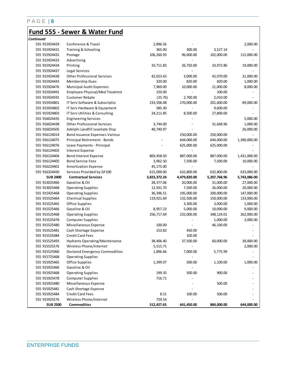### **Fund 555 - Sewer & Water Fund**

| Continued       |                                       |              |              |              |              |
|-----------------|---------------------------------------|--------------|--------------|--------------|--------------|
| 555 915924429   | Conference & Travel                   | 2,896.56     |              |              | 2,000.00     |
| 555 915924431   | Training & Schooling                  | 365.00       | 300.00       | 3,527.14     |              |
| 555 915924432   | Postage                               | 106,260.93   | 96,600.00    | 102,000.00   | 115,000.00   |
| 555 915924433   | Advertising                           |              |              |              |              |
| 555 915924434   | Printing                              | 33,711.83    | 26,750.00    | 33,972.86    | 19,000.00    |
| 555 915924437   | Legal Services                        |              |              |              |              |
| 555 915924438   | <b>Other Professional Services</b>    | 42,023.63    | 3,000.00     | 42,970.00    | 31,000.00    |
| 555 915924443   | Membership Dues                       | 320.00       | 820.00       | 820.00       | 1,000.00     |
| 555 915924476   | Municipal Audit Expenses              | 7,969.00     | 10,000.00    | 21,000.00    | 8,000.00     |
| 555 915924491   | <b>Employee Physical/Med Treatmnt</b> | 150.00       |              | 100.00       |              |
| 555 915924591   | <b>Customer Rebate</b>                | (25.76)      | 2,700.00     | 2,010.00     |              |
| 555 915924801   | IT Serv Software & Subscriptio        | 233,506.08   | 270,000.00   | 201,600.00   | 89,000.00    |
| 555 915924802   | IT Serv Hardware & Equipment          | 585.30       |              | 9,600.00     |              |
| 555 915924803   | IT Serv Utilities & Consulting        | 24,211.85    | 8,500.00     | 27,800.00    |              |
| 555 916024435   | <b>Engineering Services</b>           |              |              |              | 5,000.00     |
| 555 916024438   | <b>Other Professional Services</b>    | 3,744.00     |              | 31,668.96    | 1,000.00     |
| 555 916024505   | Adelphi Landfill Leachate Disp        | 40,740.97    |              |              | 26,000.00    |
| 555 916124014   | Bond Issuance Expenses-Various        |              | 250,000.00   | 250,000.00   |              |
| 555 916124075   | Principal Retirement - Bonds          |              | 644,000.00   | 644,000.00   | 1,390,000.00 |
| 555 916124076   | Lease Payments - Principal            |              | 625,000.00   | 625,000.00   |              |
| 555 916124403   | <b>Interest Expense</b>               |              |              |              |              |
| 555 916124404   | Bond Interest Expense                 | 869,458.50   | 887,000.00   | 887,000.00   | 1,431,000.00 |
| 555 916124405   | <b>Bond Service Fees</b>              | 3,962.50     | 7,500.00     | 7,500.00     | 10,000.00    |
| 555 916224401   | <b>Amortization Expense</b>           | 45,175.00    |              |              |              |
| 555 916324450   | Services Provided by GF100            | 615,000.00   | 632,800.00   | 632,800.00   | 633,000.00   |
| <b>SUB 2400</b> | <b>Contractual Services</b>           | 3,823,372.24 | 4,479,820.00 | 5,207,768.96 | 5,743,086.00 |
| 555 913025466   | Gasoline & Oil                        | 28,377.06    | 20,000.00    | 31,000.00    | 27,000.00    |
| 555 913025468   | <b>Operating Supplies</b>             | 12,931.70    | 7,500.00     | 26,000.00    | 20,000.00    |
| 555 915425468   | <b>Operating Supplies</b>             | 36,396.51    | 195,000.00   | 200,000.00   | 147,000.00   |
| 555 915525464   | <b>Chemical Supplies</b>              | 119,921.69   | 132,500.00   | 150,000.00   | 133,000.00   |
| 555 915525465   | Office Supplies                       |              | 3,300.00     | 3,000.00     | 1,000.00     |
| 555 915525466   | Gasoline & Oil                        | 8,957.23     | 5,000.00     | 10,000.00    | 9,000.00     |
| 555 915525468   | <b>Operating Supplies</b>             | 256,717.69   | 232,000.00   | 348,124.01   | 262,000.00   |
| 555 915525478   | <b>Computer Supplies</b>              |              |              | 1,000.00     | 3,000.00     |
| 555 915525480   | Miscellaneous Expense                 | 100.00       |              | 46,100.00    |              |
| 555 915525481   | Cash Shortage Expense                 | 153.82       | 450.00       |              |              |
| 555 915525484   | <b>Credit Card Fees</b>               |              | 100.00       |              |              |
| 555 915525493   | Hydrants Operating/Maintenance        | 38,406.40    | 37,500.00    | 60,000.00    | 39,000.00    |
| 555 915525576   | Wireless Phone/Internet               | 5,515.71     |              |              | 2,000.00     |
| 555 915525960   | Declared Emergency Commodities        | 1,896.66     | 7,000.00     | 5,775.99     |              |
| 555 915725468   | <b>Operating Supplies</b>             |              |              |              |              |
| 555 915925465   | Office Supplies                       | 1,399.07     | 500.00       | 1,100.00     | 1,000.00     |
| 555 915925466   | Gasoline & Oil                        |              |              |              |              |
| 555 915925468   | <b>Operating Supplies</b>             | 199.35       | 500.00       | 900.00       |              |
| 555 915925478   | <b>Computer Supplies</b>              | 716.71       |              |              |              |
| 555 915925480   | Miscellaneous Expense                 |              |              | 500.00       |              |
| 555 915925481   | Cash Shortage Expense                 |              |              |              |              |
| 555 915925484   | <b>Credit Card Fees</b>               | 8.51         | 100.00       | 500.00       |              |
| 555 915925576   | Wireless Phone/Internet               | 729.54       |              |              |              |
| <b>SUB 2500</b> | <b>Commodities</b>                    | 512,427.65   | 641,450.00   | 884,000.00   | 644,000.00   |
|                 |                                       |              |              |              |              |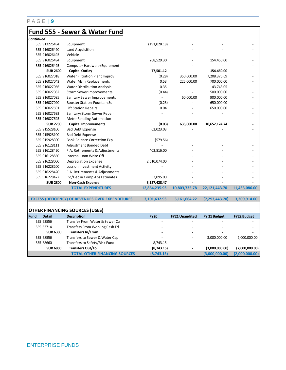### **Fund 555 - Sewer & Water Fund**

| Continued       |                                                          |               |               |                  |               |
|-----------------|----------------------------------------------------------|---------------|---------------|------------------|---------------|
| 555 913226494   | Equipment                                                | (191, 028.18) |               |                  |               |
| 555 916026490   | Land Acquisition                                         |               |               |                  |               |
| 555 916026493   | Vehicle                                                  |               |               |                  |               |
| 555 916026494   | Equipment                                                | 268,529.30    |               | 154,450.00       |               |
| 555 916026495   | Computer Hardware/Equipment                              |               |               |                  |               |
| <b>SUB 2600</b> | <b>Capital Outlay</b>                                    | 77,501.12     |               | 154,450.00       |               |
| 555 916027018   | Water Filtration Plant Improv.                           | (0.28)        | 350,000.00    | 7,208,376.69     |               |
| 555 916027043   | Water Main Replacements                                  | 0.53          | 225,000.00    | 700,000.00       |               |
| 555 916027066   | <b>Water Distribution Analysis</b>                       | 0.35          |               | 43,748.05        |               |
| 555 916027082   | <b>Storm Sewer Improvements</b>                          | (0.44)        |               | 500,000.00       |               |
| 555 916027085   | Sanitary Sewer Improvements                              |               | 60,000.00     | 900,000.00       |               |
| 555 916027090   | Booster Station-Fountain Sq                              | (0.23)        |               | 650,000.00       |               |
| 555 916027691   | <b>Lift Station Repairs</b>                              | 0.04          |               | 650,000.00       |               |
| 555 916027692   | Sanitary/Storm Sewer Repair                              |               |               |                  |               |
| 555 916027693   | <b>Meter Reading Automation</b>                          |               |               |                  |               |
| <b>SUB 2700</b> | <b>Capital Improvements</b>                              | (0.03)        | 635,000.00    | 10,652,124.74    |               |
| 555 915528100   | <b>Bad Debt Expense</b>                                  | 62,023.03     |               |                  |               |
| 555 915928100   | <b>Bad Debt Expense</b>                                  |               |               |                  |               |
| 555 915928300   | <b>Bank Balance Correction Exp</b>                       | (579.56)      |               |                  |               |
| 555 916128111   | Adjustment Bonded Debt                                   |               |               |                  |               |
| 555 916128420   | F.A. Retirements & Adjustments                           | 402,816.00    |               |                  |               |
| 555 916128850   | Internal Loan Write Off                                  |               |               |                  |               |
| 555 916228000   | <b>Depreciation Expense</b>                              | 2,610,074.00  |               |                  |               |
| 555 916228200   | Loss on Investment Activity                              |               |               |                  |               |
| 555 916228420   | F.A. Retirements & Adjustments                           |               |               |                  |               |
| 555 916228422   | Inc/Dec in Comp Abs Estimates                            | 53,095.00     |               |                  |               |
| <b>SUB 2800</b> | <b>Non-Cash Expense</b>                                  | 3,127,428.47  |               |                  |               |
|                 | <b>TOTAL EXPENDITURES</b>                                | 12,864,235.93 | 10,803,735.78 | 22,121,443.70    | 11,433,086.00 |
|                 |                                                          |               |               |                  |               |
|                 | <b>EXCESS (DEFICIENCY) OF REVENUES OVER EXPENDITURES</b> | 3,101,632.93  | 5,161,664.22  | (7, 293, 443.70) | 3,309,914.00  |

#### **OTHER FINANCING SOURCES (USES)**

| l Fund | <b>Detail</b>   | <b>Description</b>                   | <b>FY20</b>              | <b>FY21 Unaudited</b>    | FY 21 Budget   | <b>FY22 Budget</b>       |
|--------|-----------------|--------------------------------------|--------------------------|--------------------------|----------------|--------------------------|
|        | 555 63556       | Transfer From Water & Sewer Ca       |                          |                          |                |                          |
|        | 555 63714       | Transfers From Working Cash Fd       | -                        | -                        |                | $\overline{\phantom{a}}$ |
|        | <b>SUB 6300</b> | <b>Transfers In/From</b>             |                          |                          |                |                          |
|        | 555 68556       | Transfers to Sewer & Water Cap       | $\overline{\phantom{a}}$ |                          | 3,000,000.00   | 2,000,000.00             |
|        | 555 68660       | Transfers to Safety/Risk Fund        | 8.743.15                 |                          |                |                          |
|        | <b>SUB 6800</b> | <b>Transfers Out/To</b>              | (8,743.15)               | $\overline{\phantom{0}}$ | (3,000,000.00) | (2,000,000.00)           |
|        |                 | <b>TOTAL OTHER FINANCING SOURCES</b> | (8,743.15)               |                          | (3.000.000.00) | (2,000,000.00)           |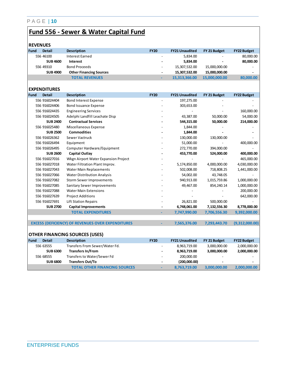# **Fund 556 - Sewer & Water Capital Fund**

| <b>REVENUES</b>       |                                                          |                |                       |               |                    |
|-----------------------|----------------------------------------------------------|----------------|-----------------------|---------------|--------------------|
| Fund<br><b>Detail</b> | <b>Description</b>                                       | <b>FY20</b>    | <b>FY21 Unaudited</b> | FY 21 Budget  | <b>FY22 Budget</b> |
| 556 46100             | <b>Interest Earned</b>                                   |                | 5,834.00              |               | 80,000.00          |
| <b>SUB 4600</b>       | Interest                                                 |                | 5,834.00              |               | 80,000.00          |
| 556 49310             | <b>Bond Proceeds</b>                                     |                | 15,307,532.00         | 15,000,000.00 |                    |
| <b>SUB 4900</b>       | <b>Other Financing Sources</b>                           |                | 15,307,532.00         | 15,000,000.00 |                    |
|                       | <b>TOTAL REVENUES</b>                                    |                | 15,313,366.00         | 15,000,000.00 | 80,000.00          |
|                       |                                                          |                |                       |               |                    |
| <b>EXPENDITURES</b>   |                                                          |                |                       |               |                    |
| Fund<br><b>Detail</b> | <b>Description</b>                                       | <b>FY20</b>    | <b>FY21 Unaudited</b> | FY 21 Budget  | <b>FY22 Budget</b> |
| 556 916024404         | <b>Bond Interest Expense</b>                             | $\overline{a}$ | 197,275.00            |               |                    |
| 556 916024406         | <b>Bond Issuance Expense</b>                             |                | 303,653.00            |               |                    |
| 556 916024435         | <b>Engineering Services</b>                              |                |                       |               | 160,000.00         |
| 556 916024505         | Adelphi Landfill Leachate Disp                           |                | 43,387.00             | 50,000.00     | 54,000.00          |
| <b>SUB 2400</b>       | <b>Contractual Services</b>                              |                | 544,315.00            | 50,000.00     | 214,000.00         |
| 556 916025480         | Miscellaneous Expense                                    |                | 1,844.00              |               |                    |
| <b>SUB 2500</b>       | <b>Commodities</b>                                       |                | 1,844.00              |               |                    |
| 556 916026362         | Sewer Vactruck                                           |                | 130,000.00            | 130,000.00    |                    |
| 556 916026494         | Equipment                                                |                | 51,000.00             |               | 400,000.00         |
| 556 916026495         | Computer Hardware/Equipment                              |                | 272,770.00            | 394,000.00    |                    |
| <b>SUB 2600</b>       | Capital Outlay                                           |                | 453,770.00            | 524,000.00    | 400,000.00         |
| 556 916027016         | Wkgn Airport Water Expansion Project                     |                |                       |               | 465,000.00         |
| 556 916027018         | Water Filtration Plant Improv.                           |                | 5,174,850.00          | 4,000,000.00  | 4,030,000.00       |
| 556 916027043         | Water Main Replacements                                  |                | 502,008.00            | 718,808.25    | 1,441,000.00       |
| 556 916027066         | <b>Water Distribution Analysis</b>                       |                | 54,002.00             | 43,748.05     |                    |
| 556 916027082         | <b>Storm Sewer Improvements</b>                          |                | 940,913.00            | 1,015,759.86  | 1,000,000.00       |
| 556 916027085         | Sanitary Sewer Improvements                              |                | 49,467.00             | 854,240.14    | 1,000,000.00       |
| 556 916027088         | <b>Water Main Extensions</b>                             |                |                       |               | 200,000.00         |
| 556 916027639         | <b>Project Additions</b>                                 |                |                       |               | 642,000.00         |
| 556 916027691         | Lift Station Repairs                                     |                | 26,821.00             | 500,000.00    |                    |
| <b>SUB 2700</b>       | <b>Capital Improvements</b>                              |                | 6,748,061.00          | 7,132,556.30  | 8,778,000.00       |
|                       | <b>TOTAL EXPENDITURES</b>                                |                | 7,747,990.00          | 7,706,556.30  | 9,392,000.00       |
|                       |                                                          |                |                       |               |                    |
|                       | <b>EXCESS (DEFICIENCY) OF REVENUES OVER EXPENDITURES</b> |                | 7,565,376.00          | 7,293,443.70  | (9,312,000.00)     |
|                       |                                                          |                |                       |               |                    |
|                       | <b>OTHER FINANCING SOURCES (USES)</b>                    |                |                       |               |                    |
| Fund<br><b>Detail</b> | <b>Description</b>                                       | <b>FY20</b>    | <b>FY21 Unaudited</b> | FY 21 Budget  | <b>FY22 Budget</b> |
| 556 63555             | Transfers From Sewer/Water Fd.                           |                | 8,963,719.00          | 3,000,000.00  | 2,000,000.00       |
| <b>SUB 6300</b>       | <b>Transfers In/From</b>                                 |                | 8,963,719.00          | 3,000,000.00  | 2,000,000.00       |
| 556 68555             | Transfers to Water/Sewer Fd                              |                | 200,000.00            |               |                    |
| <b>SUB 6800</b>       | <b>Transfers Out/To</b>                                  |                | (200,000.00)          |               |                    |
|                       | <b>TOTAL OTHER FINANCING SOURCES</b>                     |                | 8,763,719.00          | 3,000,000.00  | 2,000,000.00       |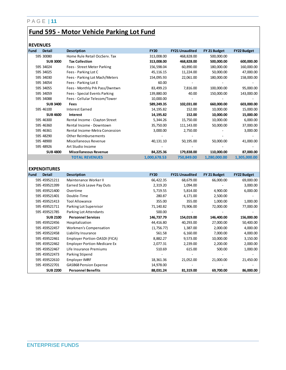## **Fund 595 - Motor Vehicle Parking Lot Fund**

### **REVENUES**

| Fund | <b>Detail</b>       | <b>Description</b>                  | <b>FY20</b>  | <b>FY21 Unaudited</b> | FY 21 Budget   | <b>FY22 Budget</b> |
|------|---------------------|-------------------------------------|--------------|-----------------------|----------------|--------------------|
|      | 595 30080           | Home Rule Retail OccServ. Tax       | 313,008.00   | 468,828.00            | 500,000.00     |                    |
|      | <b>SUB 3000</b>     | <b>Tax Collection</b>               | 313,008.00   | 468,828.00            | 500,000.00     | 600,000.00         |
|      | 595 34024           | Fees - Street Meter Parking         | 156,598.04   | 60,890.00             | 180,000.00     | 160,000.00         |
|      | 595 34025           | Fees - Parking Lot C                | 45,116.15    | 11,224.00             | 50,000.00      | 47,000.00          |
|      | 595 34030           | Fees - Parking Lot Mach/Meters      | 154,095.93   | 22,061.00             | 180,000.00     | 158,000.00         |
|      | 595 34054           | Fees - Parking Lot E                | 60.00        |                       |                |                    |
|      | 595 34055           | Fees - Monthly Prk Pass/Dwntwn      | 83,499.23    | 7,816.00              | 100,000.00     | 95,000.00          |
|      | 595 34059           | Fees - Special Events Parking       | 139,880.00   | 40.00                 | 150,000.00     | 143,000.00         |
|      | 595 34088           | Fees - Cellular Telecom/Tower       | 10,000.00    |                       |                |                    |
|      | <b>SUB 3400</b>     | Fees                                | 589,249.35   | 102,031.00            | 660,000.00     | 603,000.00         |
|      | 595 46100           | <b>Interest Earned</b>              | 14,195.82    | 152.00                | 10,000.00      | 15,000.00          |
|      | <b>SUB 4600</b>     | Interest                            | 14,195.82    | 152.00                | 10,000.00      | 15,000.00          |
|      | 595 46300           | Rental Income - Clayton Street      | 5,344.26     | 15,750.00             | 10,000.00      | 6,000.00           |
|      | 595 46360           | Rental Income - Downtown            | 35,750.00    | 111,143.00            | 50,000.00      | 37,000.00          |
|      | 595 46361           | Rental Income-Metra Concession      | 3,000.00     | 2,750.00              |                | 3,000.00           |
|      | 595 48290           | <b>Other Reimbursements</b>         |              |                       |                |                    |
|      | 595 48900           | Miscellaneous Revenue               | 40,131.10    | 50,195.00             | 50,000.00      | 41,000.00          |
|      | 595 48926           | Art Studio Income                   |              |                       |                |                    |
|      | <b>SUB 4800</b>     | <b>Miscellaneous Revenue</b>        | 84,225.36    | 179,838.00            | 110,000.00     | 87,000.00          |
|      |                     | <b>TOTAL REVENUES</b>               | 1,000,678.53 | 750,849.00            | 1,280,000.00   | 1,305,000.00       |
|      |                     |                                     |              |                       |                |                    |
|      | <b>EXPENDITURES</b> |                                     |              |                       |                |                    |
| Fund | <b>Detail</b>       | <b>Description</b>                  | <b>FY20</b>  | <b>FY21 Unaudited</b> | FY 21 Budget   | <b>FY22 Budget</b> |
|      | 595 459521211       | Maintenance Worker II               | 66,422.35    | 68,679.00             | 66,000.00      | 69,000.00          |
|      | 595 459521399       | Earned Sick Leave Pay Outs          | 2,319.20     | 1,094.00              | $\overline{a}$ | 3,000.00           |
|      | 595 459521400       | Overtime                            | 5,719.55     | 5,814.00              | 4,900.00       | 6,000.00           |
|      | 595 459521401       | Double-Time                         | 280.87       | 4,171.00              | 2,500.00       |                    |
|      | 595 459521413       | <b>Tool Allowance</b>               | 355.00       | 355.00                | 1,000.00       | 1,000.00           |
|      | 595 459521711       | Parking Lot Supervisor              | 71,140.82    | 73,906.00             | 72,000.00      | 77,000.00          |
|      | 595 459521785       | Parking Lot Attendants              | 500.00       |                       |                |                    |
|      | <b>SUB 2100</b>     | <b>Personnel Services</b>           | 146,737.79   | 154,019.00            | 146,400.00     | 156,000.00         |
|      | 595 459522456       | Hospitalization                     | 44,416.80    | 40,293.00             | 27,000.00      | 50,400.00          |
|      | 595 459522457       | Workmen's Compensation              | (1,756.77)   | 1,387.00              | 2,000.00       | 4,000.00           |
|      | 595 459522458       | Liability Insurance                 | 561.58       | 6,160.00              | 7,000.00       | 4,000.00           |
|      | 595 459522461       | Employer Portion-OASDI (FICA)       | 8,882.27     | 9,573.00              | 10,000.00      | 3,150.00           |
|      | 595 459522462       | <b>Employer Portion-Medicare Ex</b> | 2,077.31     | 2,239.00              | 2,200.00       | 2,000.00           |
|      | 595 459522467       | Life Insurance Premiums             | 510.69       | 615.00                | 500.00         | 1,000.00           |
|      | 595 459522473       | Parking Stipend                     |              |                       |                |                    |
|      | 595 459522610       | Employer IMRF                       | 18,361.36    | 21,052.00             | 21,000.00      | 21,450.00          |
|      | 595 459522701       | <b>GASB68 Pension Expense</b>       | 14,978.00    |                       |                |                    |
|      | <b>SUB 2200</b>     | <b>Personnel Benefits</b>           | 88,031.24    | 81,319.00             | 69.700.00      | 86,000.00          |